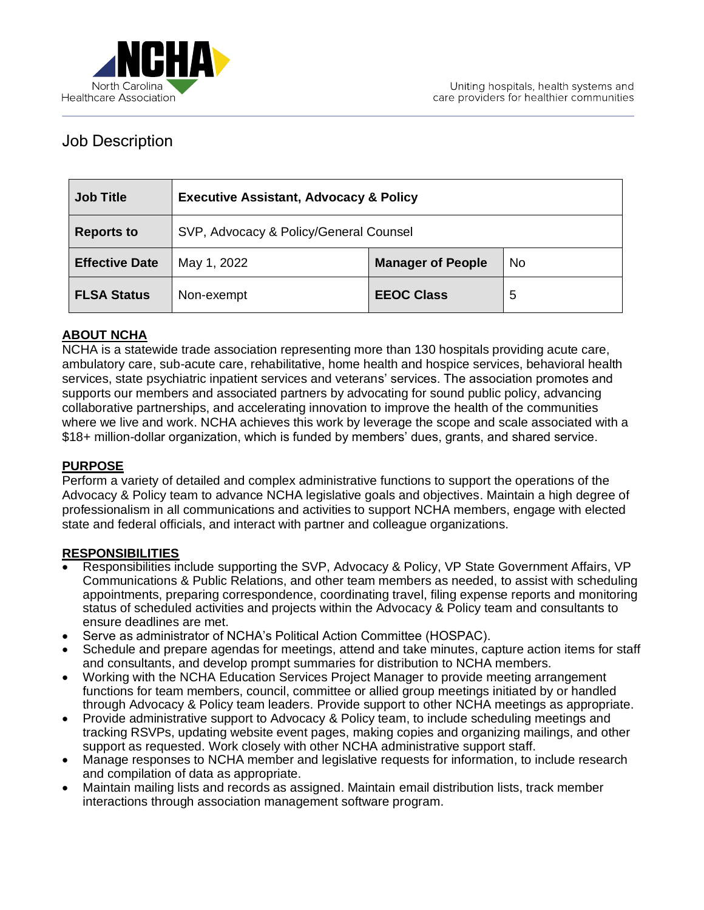

# Job Description

| <b>Job Title</b>      | <b>Executive Assistant, Advocacy &amp; Policy</b> |                          |           |
|-----------------------|---------------------------------------------------|--------------------------|-----------|
| <b>Reports to</b>     | SVP, Advocacy & Policy/General Counsel            |                          |           |
| <b>Effective Date</b> | May 1, 2022                                       | <b>Manager of People</b> | <b>No</b> |
| <b>FLSA Status</b>    | Non-exempt                                        | <b>EEOC Class</b>        | 5         |

## **ABOUT NCHA**

NCHA is a statewide trade association representing more than 130 hospitals providing acute care, ambulatory care, sub-acute care, rehabilitative, home health and hospice services, behavioral health services, state psychiatric inpatient services and veterans' services. The association promotes and supports our members and associated partners by advocating for sound public policy, advancing collaborative partnerships, and accelerating innovation to improve the health of the communities where we live and work. NCHA achieves this work by leverage the scope and scale associated with a \$18+ million-dollar organization, which is funded by members' dues, grants, and shared service.

#### **PURPOSE**

Perform a variety of detailed and complex administrative functions to support the operations of the Advocacy & Policy team to advance NCHA legislative goals and objectives. Maintain a high degree of professionalism in all communications and activities to support NCHA members, engage with elected state and federal officials, and interact with partner and colleague organizations.

#### **RESPONSIBILITIES**

- Responsibilities include supporting the SVP, Advocacy & Policy, VP State Government Affairs, VP Communications & Public Relations, and other team members as needed, to assist with scheduling appointments, preparing correspondence, coordinating travel, filing expense reports and monitoring status of scheduled activities and projects within the Advocacy & Policy team and consultants to ensure deadlines are met.
- Serve as administrator of NCHA's Political Action Committee (HOSPAC).
- Schedule and prepare agendas for meetings, attend and take minutes, capture action items for staff and consultants, and develop prompt summaries for distribution to NCHA members.
- Working with the NCHA Education Services Project Manager to provide meeting arrangement functions for team members, council, committee or allied group meetings initiated by or handled through Advocacy & Policy team leaders. Provide support to other NCHA meetings as appropriate.
- Provide administrative support to Advocacy & Policy team, to include scheduling meetings and tracking RSVPs, updating website event pages, making copies and organizing mailings, and other support as requested. Work closely with other NCHA administrative support staff.
- Manage responses to NCHA member and legislative requests for information, to include research and compilation of data as appropriate.
- Maintain mailing lists and records as assigned. Maintain email distribution lists, track member interactions through association management software program.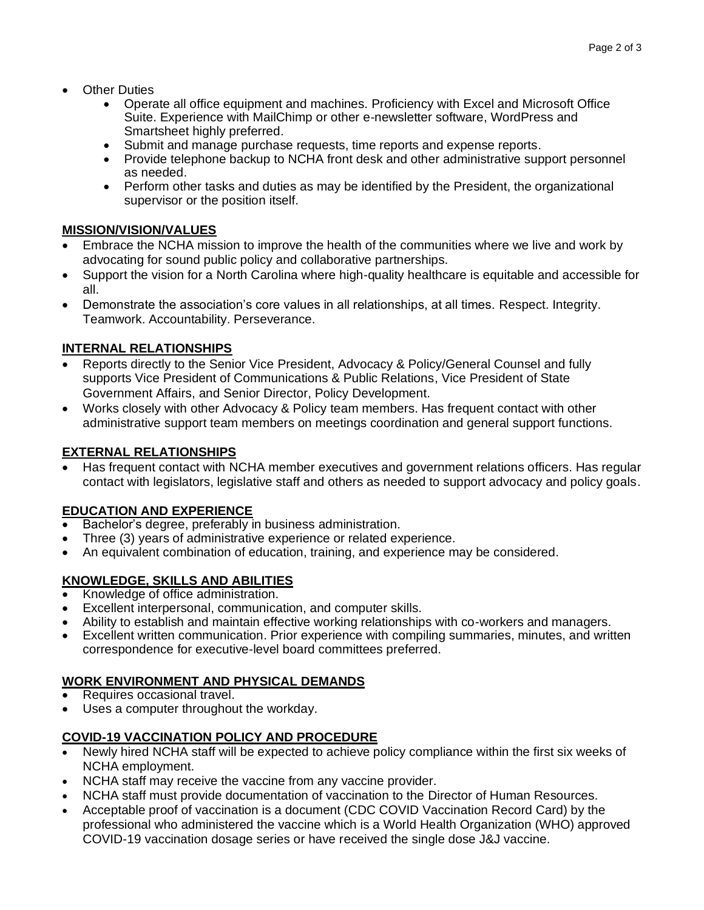- **Other Duties** 
	- Operate all office equipment and machines. Proficiency with Excel and Microsoft Office Suite. Experience with MailChimp or other e-newsletter software, WordPress and Smartsheet highly preferred.
	- Submit and manage purchase requests, time reports and expense reports.
	- Provide telephone backup to NCHA front desk and other administrative support personnel as needed.
	- Perform other tasks and duties as may be identified by the President, the organizational supervisor or the position itself.

## **MISSION/VISION/VALUES**

- Embrace the NCHA mission to improve the health of the communities where we live and work by advocating for sound public policy and collaborative partnerships.
- Support the vision for a North Carolina where high-quality healthcare is equitable and accessible for all.
- Demonstrate the association's core values in all relationships, at all times. Respect. Integrity. Teamwork. Accountability. Perseverance.

## **INTERNAL RELATIONSHIPS**

- Reports directly to the Senior Vice President, Advocacy & Policy/General Counsel and fully supports Vice President of Communications & Public Relations, Vice President of State Government Affairs, and Senior Director, Policy Development.
- Works closely with other Advocacy & Policy team members. Has frequent contact with other administrative support team members on meetings coordination and general support functions.

## **EXTERNAL RELATIONSHIPS**

• Has frequent contact with NCHA member executives and government relations officers. Has regular contact with legislators, legislative staff and others as needed to support advocacy and policy goals.

## **EDUCATION AND EXPERIENCE**

- Bachelor's degree, preferably in business administration.
- Three (3) years of administrative experience or related experience.
- An equivalent combination of education, training, and experience may be considered.

## **KNOWLEDGE, SKILLS AND ABILITIES**

- Knowledge of office administration.
- Excellent interpersonal, communication, and computer skills.
- Ability to establish and maintain effective working relationships with co-workers and managers.
- Excellent written communication. Prior experience with compiling summaries, minutes, and written correspondence for executive-level board committees preferred.

## **WORK ENVIRONMENT AND PHYSICAL DEMANDS**

- Requires occasional travel.
- Uses a computer throughout the workday.

## **COVID-19 VACCINATION POLICY AND PROCEDURE**

- Newly hired NCHA staff will be expected to achieve policy compliance within the first six weeks of NCHA employment.
- NCHA staff may receive the vaccine from any vaccine provider.
- NCHA staff must provide documentation of vaccination to the Director of Human Resources.
- Acceptable proof of vaccination is a document (CDC COVID Vaccination Record Card) by the professional who administered the vaccine which is a World Health Organization (WHO) approved COVID-19 vaccination dosage series or have received the single dose J&J vaccine.